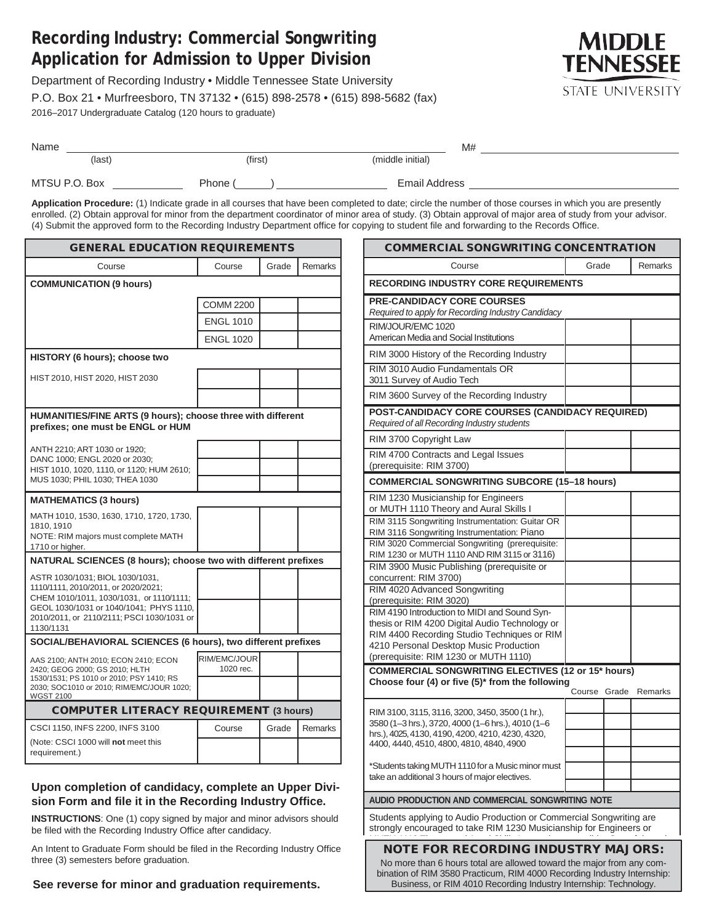## **Recording Industry: Commercial Songwriting Application for Admission to Upper Division**

Department of Recording Industry • Middle Tennessee State University P.O. Box 21 • Murfreesboro, TN 37132 • (615) 898-2578 • (615) 898-5682 (fax) 2016–2017 Undergraduate Catalog (120 hours to graduate)



| Name          |         | M#                   |  |
|---------------|---------|----------------------|--|
| $$            | (first) | (middle initial)     |  |
| MTSU P.O. Box | Phone   | <b>Email Address</b> |  |

**Application Procedure:** (1) Indicate grade in all courses that have been completed to date; circle the number of those courses in which you are presently enrolled. (2) Obtain approval for minor from the department coordinator of minor area of study. (3) Obtain approval of major area of study from your advisor. (4) Submit the approved form to the Recording Industry Department office for copying to student file and forwarding to the Records Office.

| <b>GENERAL EDUCATION REQUIREMENTS</b>                                                                              |                           |       |         |  |  |
|--------------------------------------------------------------------------------------------------------------------|---------------------------|-------|---------|--|--|
| Course                                                                                                             | Course                    | Grade | Remarks |  |  |
| <b>COMMUNICATION (9 hours)</b>                                                                                     |                           |       |         |  |  |
|                                                                                                                    | <b>COMM 2200</b>          |       |         |  |  |
|                                                                                                                    | <b>ENGL 1010</b>          |       |         |  |  |
|                                                                                                                    | <b>ENGL 1020</b>          |       |         |  |  |
| HISTORY (6 hours); choose two                                                                                      |                           |       |         |  |  |
| HIST 2010, HIST 2020, HIST 2030                                                                                    |                           |       |         |  |  |
|                                                                                                                    |                           |       |         |  |  |
| HUMANITIES/FINE ARTS (9 hours); choose three with different<br>prefixes; one must be ENGL or HUM                   |                           |       |         |  |  |
| ANTH 2210; ART 1030 or 1920;                                                                                       |                           |       |         |  |  |
| DANC 1000; ENGL 2020 or 2030;<br>HIST 1010, 1020, 1110, or 1120; HUM 2610;                                         |                           |       |         |  |  |
| MUS 1030; PHIL 1030; THEA 1030                                                                                     |                           |       |         |  |  |
| <b>MATHEMATICS (3 hours)</b>                                                                                       |                           |       |         |  |  |
| MATH 1010, 1530, 1630, 1710, 1720, 1730,<br>1810.1910                                                              |                           |       |         |  |  |
| NOTE: RIM majors must complete MATH<br>1710 or higher.                                                             |                           |       |         |  |  |
| NATURAL SCIENCES (8 hours); choose two with different prefixes                                                     |                           |       |         |  |  |
| ASTR 1030/1031; BIOL 1030/1031,<br>1110/1111, 2010/2011, or 2020/2021;<br>CHEM 1010/1011, 1030/1031, or 1110/1111; |                           |       |         |  |  |
| GEOL 1030/1031 or 1040/1041; PHYS 1110,<br>2010/2011, or 2110/2111; PSCI 1030/1031 or<br>1130/1131                 |                           |       |         |  |  |
| SOCIAL/BEHAVIORAL SCIENCES (6 hours), two different prefixes                                                       |                           |       |         |  |  |
| AAS 2100; ANTH 2010; ECON 2410; ECON<br>2420; GEOG 2000; GS 2010; HLTH<br>1530/1531; PS 1010 or 2010; PSY 1410; RS | RIM/EMC/JOUR<br>1020 rec. |       |         |  |  |
| 2030; SOC1010 or 2010; RIM/EMC/JOUR 1020;<br><b>WGST 2100</b>                                                      |                           |       |         |  |  |
| <b>COMPUTER LITERACY REQUIREMENT (3 hours)</b>                                                                     |                           |       |         |  |  |
| CSCI 1150, INFS 2200, INFS 3100                                                                                    | Course                    | Grade | Remarks |  |  |
| (Note: CSCI 1000 will not meet this<br>requirement.)                                                               |                           |       |         |  |  |

## **Upon completion of candidacy, complete an Upper Division Form and file it in the Recording Industry Office.**

**INSTRUCTIONS**: One (1) copy signed by major and minor advisors should be filed with the Recording Industry Office after candidacy.

An Intent to Graduate Form should be filed in the Recording Industry Office three (3) semesters before graduation.

**See reverse for minor and graduation requirements.**

| <b>COMMERCIAL SONGWRITING CONCENTRATION</b>                                                                                                      |        |       |         |
|--------------------------------------------------------------------------------------------------------------------------------------------------|--------|-------|---------|
| Course                                                                                                                                           | Grade  |       | Remarks |
| <b>RECORDING INDUSTRY CORE REQUIREMENTS</b>                                                                                                      |        |       |         |
| <b>PRE-CANDIDACY CORE COURSES</b><br>Required to apply for Recording Industry Candidacy                                                          |        |       |         |
| RIM/JOUR/EMC 1020<br>American Media and Social Institutions                                                                                      |        |       |         |
| RIM 3000 History of the Recording Industry                                                                                                       |        |       |         |
| RIM 3010 Audio Fundamentals OR<br>3011 Survey of Audio Tech                                                                                      |        |       |         |
| RIM 3600 Survey of the Recording Industry                                                                                                        |        |       |         |
| POST-CANDIDACY CORE COURSES (CANDIDACY REQUIRED)<br>Required of all Recording Industry students                                                  |        |       |         |
| RIM 3700 Copyright Law                                                                                                                           |        |       |         |
| RIM 4700 Contracts and Legal Issues<br>(prerequisite: RIM 3700)                                                                                  |        |       |         |
| <b>COMMERCIAL SONGWRITING SUBCORE (15-18 hours)</b>                                                                                              |        |       |         |
| RIM 1230 Musicianship for Engineers<br>or MUTH 1110 Theory and Aural Skills I                                                                    |        |       |         |
| RIM 3115 Songwriting Instrumentation: Guitar OR<br>RIM 3116 Songwriting Instrumentation: Piano                                                   |        |       |         |
| RIM 3020 Commercial Songwriting (prerequisite:<br>RIM 1230 or MUTH 1110 AND RIM 3115 or 3116)                                                    |        |       |         |
| RIM 3900 Music Publishing (prerequisite or<br>concurrent: RIM 3700)                                                                              |        |       |         |
| RIM 4020 Advanced Songwriting<br>(prerequisite: RIM 3020)                                                                                        |        |       |         |
| RIM 4190 Introduction to MIDI and Sound Syn-                                                                                                     |        |       |         |
| thesis or RIM 4200 Digital Audio Technology or<br>RIM 4400 Recording Studio Techniques or RIM                                                    |        |       |         |
| 4210 Personal Desktop Music Production                                                                                                           |        |       |         |
| (prerequisite: RIM 1230 or MUTH 1110)<br><b>COMMERCIAL SONGWRITING ELECTIVES (12 or 15* hours)</b>                                               |        |       |         |
| Choose four (4) or five $(5)^*$ from the following                                                                                               |        |       |         |
|                                                                                                                                                  | Course | Grade | Remarks |
| RIM 3100, 3115, 3116, 3200, 3450, 3500 (1 hr.),                                                                                                  |        |       |         |
| 3580 (1-3 hrs.), 3720, 4000 (1-6 hrs.), 4010 (1-6<br>hrs.). 4025. 4130. 4190. 4200. 4210. 4230. 4320.                                            |        |       |         |
| 4400, 4440, 4510, 4800, 4810, 4840, 4900                                                                                                         |        |       |         |
| *Students taking MUTH 1110 for a Music minor must                                                                                                |        |       |         |
| take an additional 3 hours of major electives.                                                                                                   |        |       |         |
| AUDIO PRODUCTION AND COMMERCIAL SONGWRITING NOTE                                                                                                 |        |       |         |
| Students applying to Audio Production or Commercial Songwriting are<br>strongly encouraged to take RIM 1230 Musicianship for Engineers or        |        |       |         |
| <b>NOTE FOR RECORDING INDUSTRY MAJORS:</b>                                                                                                       |        |       |         |
| No more than 6 hours total are allowed toward the major from any com-<br>bination of RIM 3580 Practicum, RIM 4000 Recording Industry Internship: |        |       |         |

Business, or RIM 4010 Recording Industry Internship: Technology.